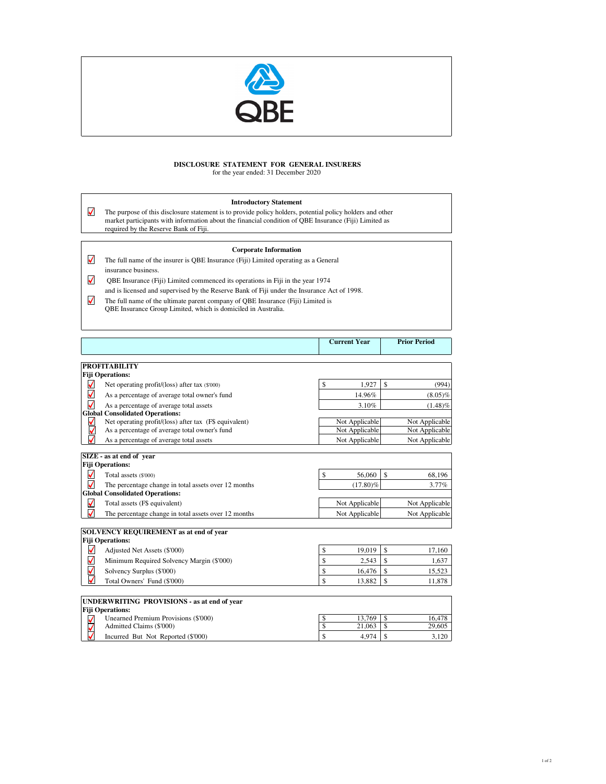

## **DISCLOSURE STATEMENT FOR GENERAL INSURERS**

for the year ended: 31 December 2020

## **Introductory Statement**

 $\blacktriangledown$ The purpose of this disclosure statement is to provide policy holders, potential policy holders and other market participants with information about the financial condition of QBE Insurance (Fiji) Limited as required by the Reserve Bank of Fiji.

## **Corporate Information**

- The full name of the insurer is QBE Insurance (Fiji) Limited operating as a General insurance business.
- QBE Insurance (Fiji) Limited commenced its operations in Fiji in the year 1974  $\blacktriangledown$ and is licensed and supervised by the Reserve Bank of Fiji under the Insurance Act of 1998.
- The full name of the ultimate parent company of QBE Insurance (Fiji) Limited is QBE Insurance Group Limited, which is domiciled in Australia.

|                      |                                                                  | <b>Current Year</b>          |                                     | <b>Prior Period</b> |
|----------------------|------------------------------------------------------------------|------------------------------|-------------------------------------|---------------------|
|                      | <b>PROFITABILITY</b>                                             |                              |                                     |                     |
|                      | <b>Fiji Operations:</b>                                          |                              |                                     |                     |
| √                    | Net operating profit/(loss) after tax (\$'000)                   | \$<br>1,927                  | $\mathbf S$                         | (994)               |
| $\blacktriangledown$ | As a percentage of average total owner's fund                    | 14.96%                       |                                     | $(8.05)\%$          |
| $\blacktriangledown$ | As a percentage of average total assets                          | 3.10%                        |                                     | $(1.48)\%$          |
|                      | <b>Global Consolidated Operations:</b>                           |                              |                                     |                     |
| ✔                    | Net operating profit/(loss) after tax (F\$ equivalent)           | Not Applicable               |                                     | Not Applicable      |
| ⊽                    | As a percentage of average total owner's fund                    | Not Applicable               |                                     | Not Applicable      |
| √                    | As a percentage of average total assets                          | Not Applicable               |                                     | Not Applicable      |
|                      | SIZE - as at end of year                                         |                              |                                     |                     |
|                      | <b>Fiji Operations:</b>                                          |                              |                                     |                     |
| M                    | Total assets (\$'000)                                            | \$<br>56,060                 | $\mathcal{S}$                       | 68,196              |
| √                    | The percentage change in total assets over 12 months             | $(17.80)\%$                  |                                     | 3.77%               |
|                      | <b>Global Consolidated Operations:</b>                           |                              |                                     |                     |
| $\blacktriangledown$ | Total assets (F\$ equivalent)                                    | Not Applicable               |                                     | Not Applicable      |
| √                    | The percentage change in total assets over 12 months             | Not Applicable               |                                     | Not Applicable      |
|                      |                                                                  |                              |                                     |                     |
|                      | <b>SOLVENCY REQUIREMENT</b> as at end of year                    |                              |                                     |                     |
|                      | <b>Fiji Operations:</b>                                          |                              |                                     |                     |
| √                    | Adjusted Net Assets (\$'000)                                     | \$<br>19,019                 | $\mathbf S$                         | 17.160              |
|                      | Minimum Required Solvency Margin (\$'000)                        | \$<br>2,543                  | $\mathbf{\hat{S}}$                  | 1,637               |
| $\leq$               | Solvency Surplus (\$'000)                                        | \$<br>16,476                 | <b>S</b>                            | 15,523              |
|                      | Total Owners' Fund (\$'000)                                      | \$<br>13,882                 | \$                                  | 11,878              |
|                      |                                                                  |                              |                                     |                     |
|                      | <b>UNDERWRITING PROVISIONS - as at end of year</b>               |                              |                                     |                     |
|                      | <b>Fiji Operations:</b>                                          |                              |                                     |                     |
|                      | Unearned Premium Provisions (\$'000)<br>Admitted Claims (\$'000) | 13.769<br>\$<br>\$<br>21,063 | <sup>\$</sup><br>$\mathbf{\hat{s}}$ | 16,478<br>29,605    |
|                      |                                                                  |                              |                                     |                     |
|                      | Incurred But Not Reported (\$'000)                               | \$<br>4,974                  | <b>S</b>                            | 3,120               |